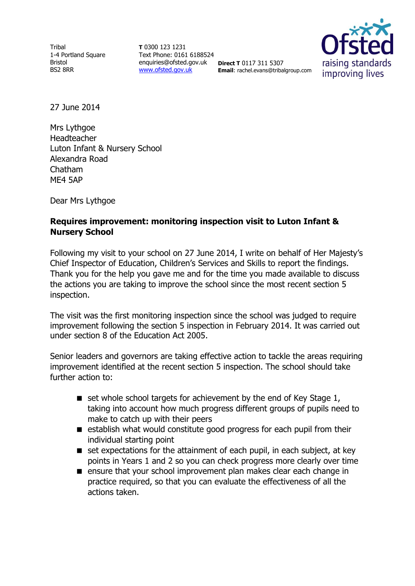**Tribal** 1-4 Portland Square Bristol BS2 8RR

**T** 0300 123 1231 Text Phone: 0161 6188524 enquiries@ofsted.gov.uk **Direct T** 0117 311 5307 [www.ofsted.gov.uk](http://www.ofsted.gov.uk/)

**Email**: rachel.evans@tribalgroup.com



27 June 2014

Mrs Lythgoe Headteacher Luton Infant & Nursery School Alexandra Road Chatham ME4 5AP

Dear Mrs Lythgoe

## **Requires improvement: monitoring inspection visit to Luton Infant & Nursery School**

Following my visit to your school on 27 June 2014, I write on behalf of Her Majesty's Chief Inspector of Education, Children's Services and Skills to report the findings. Thank you for the help you gave me and for the time you made available to discuss the actions you are taking to improve the school since the most recent section 5 inspection.

The visit was the first monitoring inspection since the school was judged to require improvement following the section 5 inspection in February 2014. It was carried out under section 8 of the Education Act 2005.

Senior leaders and governors are taking effective action to tackle the areas requiring improvement identified at the recent section 5 inspection. The school should take further action to:

- $\blacksquare$  set whole school targets for achievement by the end of Key Stage 1, taking into account how much progress different groups of pupils need to make to catch up with their peers
- establish what would constitute good progress for each pupil from their individual starting point
- $\blacksquare$  set expectations for the attainment of each pupil, in each subject, at key points in Years 1 and 2 so you can check progress more clearly over time
- **E** ensure that your school improvement plan makes clear each change in practice required, so that you can evaluate the effectiveness of all the actions taken.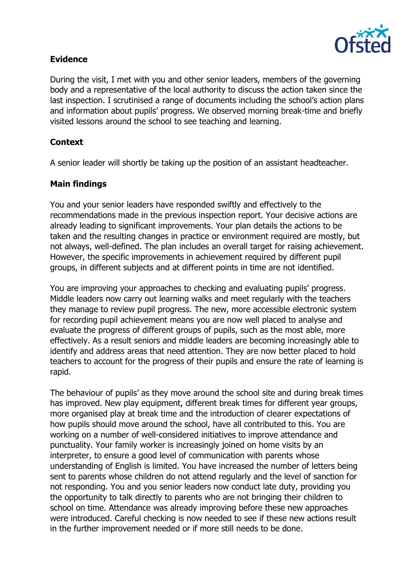

## **Evidence**

During the visit, I met with you and other senior leaders, members of the governing body and a representative of the local authority to discuss the action taken since the last inspection. I scrutinised a range of documents including the school's action plans and information about pupils' progress. We observed morning break-time and briefly visited lessons around the school to see teaching and learning.

# **Context**

A senior leader will shortly be taking up the position of an assistant headteacher.

# **Main findings**

You and your senior leaders have responded swiftly and effectively to the recommendations made in the previous inspection report. Your decisive actions are already leading to significant improvements. Your plan details the actions to be taken and the resulting changes in practice or environment required are mostly, but not always, well-defined. The plan includes an overall target for raising achievement. However, the specific improvements in achievement required by different pupil groups, in different subjects and at different points in time are not identified.

You are improving your approaches to checking and evaluating pupils' progress. Middle leaders now carry out learning walks and meet regularly with the teachers they manage to review pupil progress. The new, more accessible electronic system for recording pupil achievement means you are now well placed to analyse and evaluate the progress of different groups of pupils, such as the most able, more effectively. As a result seniors and middle leaders are becoming increasingly able to identify and address areas that need attention. They are now better placed to hold teachers to account for the progress of their pupils and ensure the rate of learning is rapid.

The behaviour of pupils' as they move around the school site and during break times has improved. New play equipment, different break times for different year groups, more organised play at break time and the introduction of clearer expectations of how pupils should move around the school, have all contributed to this. You are working on a number of well-considered initiatives to improve attendance and punctuality. Your family worker is increasingly joined on home visits by an interpreter, to ensure a good level of communication with parents whose understanding of English is limited. You have increased the number of letters being sent to parents whose children do not attend regularly and the level of sanction for not responding. You and you senior leaders now conduct late duty, providing you the opportunity to talk directly to parents who are not bringing their children to school on time. Attendance was already improving before these new approaches were introduced. Careful checking is now needed to see if these new actions result in the further improvement needed or if more still needs to be done.